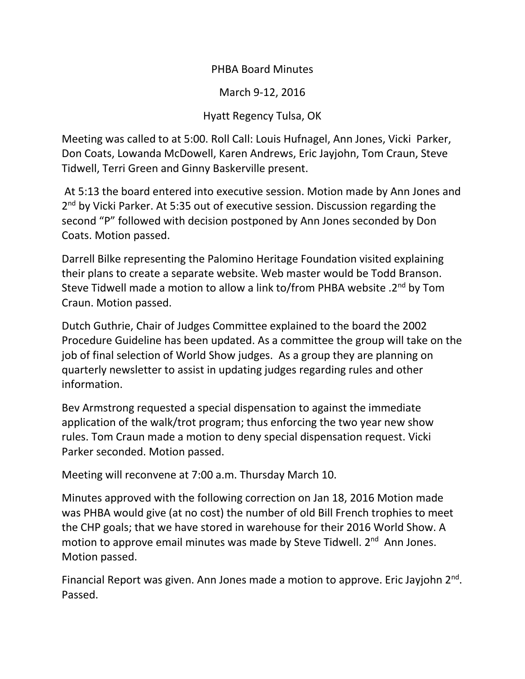## PHBA Board Minutes

March 9-12, 2016

## Hyatt Regency Tulsa, OK

Meeting was called to at 5:00. Roll Call: Louis Hufnagel, Ann Jones, Vicki Parker, Don Coats, Lowanda McDowell, Karen Andrews, Eric Jayjohn, Tom Craun, Steve Tidwell, Terri Green and Ginny Baskerville present.

At 5:13 the board entered into executive session. Motion made by Ann Jones and 2<sup>nd</sup> by Vicki Parker. At 5:35 out of executive session. Discussion regarding the second "P" followed with decision postponed by Ann Jones seconded by Don Coats. Motion passed.

Darrell Bilke representing the Palomino Heritage Foundation visited explaining their plans to create a separate website. Web master would be Todd Branson. Steve Tidwell made a motion to allow a link to/from PHBA website .2nd by Tom Craun. Motion passed.

Dutch Guthrie, Chair of Judges Committee explained to the board the 2002 Procedure Guideline has been updated. As a committee the group will take on the job of final selection of World Show judges. As a group they are planning on quarterly newsletter to assist in updating judges regarding rules and other information.

Bev Armstrong requested a special dispensation to against the immediate application of the walk/trot program; thus enforcing the two year new show rules. Tom Craun made a motion to deny special dispensation request. Vicki Parker seconded. Motion passed.

Meeting will reconvene at 7:00 a.m. Thursday March 10.

Minutes approved with the following correction on Jan 18, 2016 Motion made was PHBA would give (at no cost) the number of old Bill French trophies to meet the CHP goals; that we have stored in warehouse for their 2016 World Show. A motion to approve email minutes was made by Steve Tidwell. 2<sup>nd</sup> Ann Jones. Motion passed.

Financial Report was given. Ann Jones made a motion to approve. Eric Jayjohn 2<sup>nd</sup>. Passed.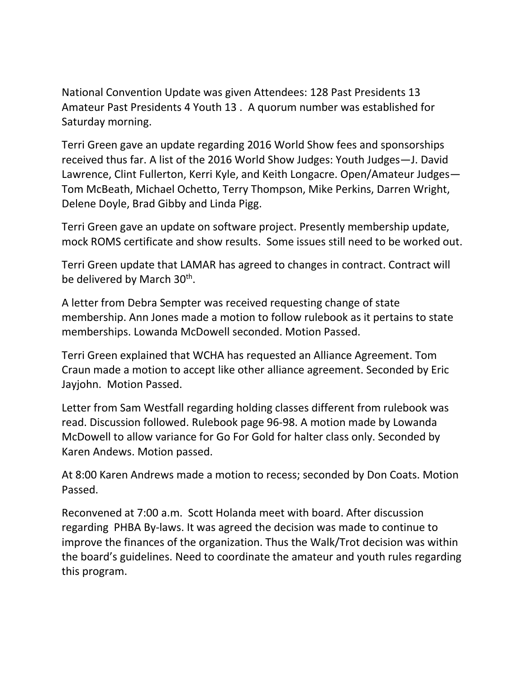National Convention Update was given Attendees: 128 Past Presidents 13 Amateur Past Presidents 4 Youth 13 . A quorum number was established for Saturday morning.

Terri Green gave an update regarding 2016 World Show fees and sponsorships received thus far. A list of the 2016 World Show Judges: Youth Judges—J. David Lawrence, Clint Fullerton, Kerri Kyle, and Keith Longacre. Open/Amateur Judges— Tom McBeath, Michael Ochetto, Terry Thompson, Mike Perkins, Darren Wright, Delene Doyle, Brad Gibby and Linda Pigg.

Terri Green gave an update on software project. Presently membership update, mock ROMS certificate and show results. Some issues still need to be worked out.

Terri Green update that LAMAR has agreed to changes in contract. Contract will be delivered by March 30<sup>th</sup>.

A letter from Debra Sempter was received requesting change of state membership. Ann Jones made a motion to follow rulebook as it pertains to state memberships. Lowanda McDowell seconded. Motion Passed.

Terri Green explained that WCHA has requested an Alliance Agreement. Tom Craun made a motion to accept like other alliance agreement. Seconded by Eric Jayjohn. Motion Passed.

Letter from Sam Westfall regarding holding classes different from rulebook was read. Discussion followed. Rulebook page 96-98. A motion made by Lowanda McDowell to allow variance for Go For Gold for halter class only. Seconded by Karen Andews. Motion passed.

At 8:00 Karen Andrews made a motion to recess; seconded by Don Coats. Motion Passed.

Reconvened at 7:00 a.m. Scott Holanda meet with board. After discussion regarding PHBA By-laws. It was agreed the decision was made to continue to improve the finances of the organization. Thus the Walk/Trot decision was within the board's guidelines. Need to coordinate the amateur and youth rules regarding this program.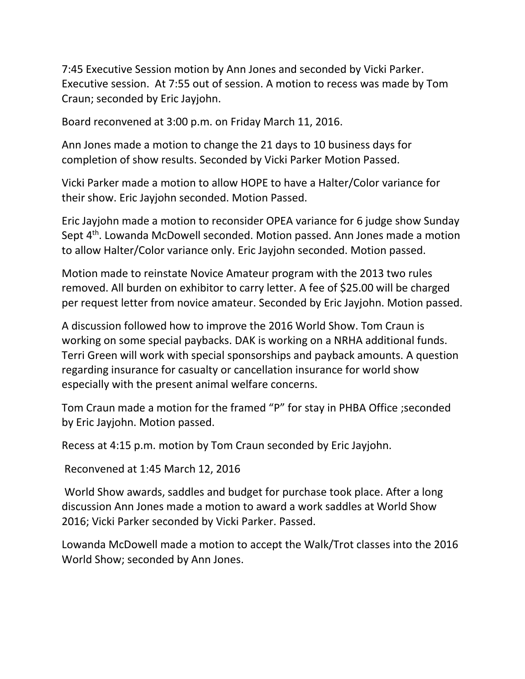7:45 Executive Session motion by Ann Jones and seconded by Vicki Parker. Executive session. At 7:55 out of session. A motion to recess was made by Tom Craun; seconded by Eric Jayjohn.

Board reconvened at 3:00 p.m. on Friday March 11, 2016.

Ann Jones made a motion to change the 21 days to 10 business days for completion of show results. Seconded by Vicki Parker Motion Passed.

Vicki Parker made a motion to allow HOPE to have a Halter/Color variance for their show. Eric Jayjohn seconded. Motion Passed.

Eric Jayjohn made a motion to reconsider OPEA variance for 6 judge show Sunday Sept 4<sup>th</sup>. Lowanda McDowell seconded. Motion passed. Ann Jones made a motion to allow Halter/Color variance only. Eric Jayjohn seconded. Motion passed.

Motion made to reinstate Novice Amateur program with the 2013 two rules removed. All burden on exhibitor to carry letter. A fee of \$25.00 will be charged per request letter from novice amateur. Seconded by Eric Jayjohn. Motion passed.

A discussion followed how to improve the 2016 World Show. Tom Craun is working on some special paybacks. DAK is working on a NRHA additional funds. Terri Green will work with special sponsorships and payback amounts. A question regarding insurance for casualty or cancellation insurance for world show especially with the present animal welfare concerns.

Tom Craun made a motion for the framed "P" for stay in PHBA Office ;seconded by Eric Jayjohn. Motion passed.

Recess at 4:15 p.m. motion by Tom Craun seconded by Eric Jayjohn.

Reconvened at 1:45 March 12, 2016

World Show awards, saddles and budget for purchase took place. After a long discussion Ann Jones made a motion to award a work saddles at World Show 2016; Vicki Parker seconded by Vicki Parker. Passed.

Lowanda McDowell made a motion to accept the Walk/Trot classes into the 2016 World Show; seconded by Ann Jones.